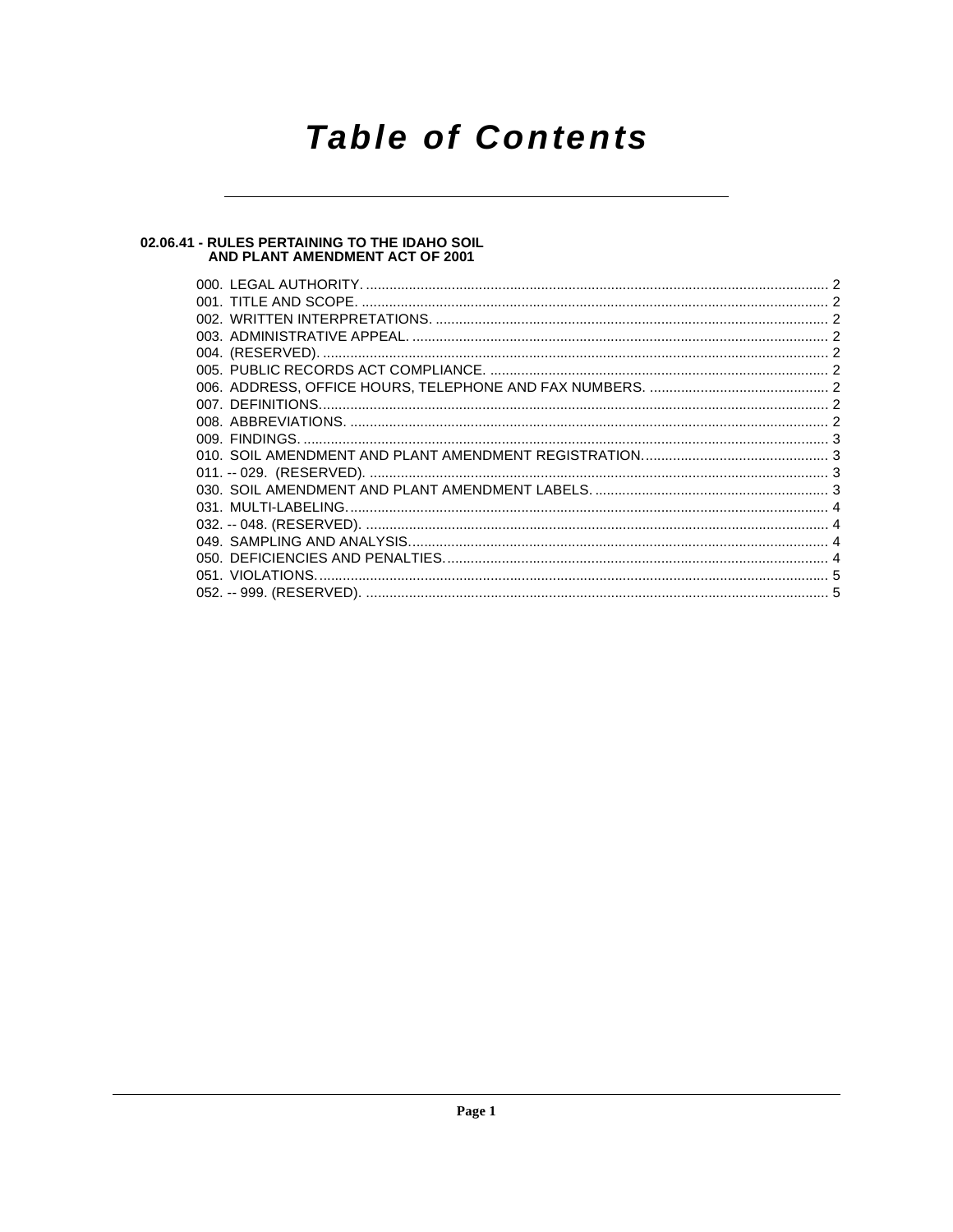## **Table of Contents**

## 02.06.41 - RULES PERTAINING TO THE IDAHO SOIL<br>AND PLANT AMENDMENT ACT OF 2001

| 051. VIOLATIONS. |  |
|------------------|--|
|                  |  |
|                  |  |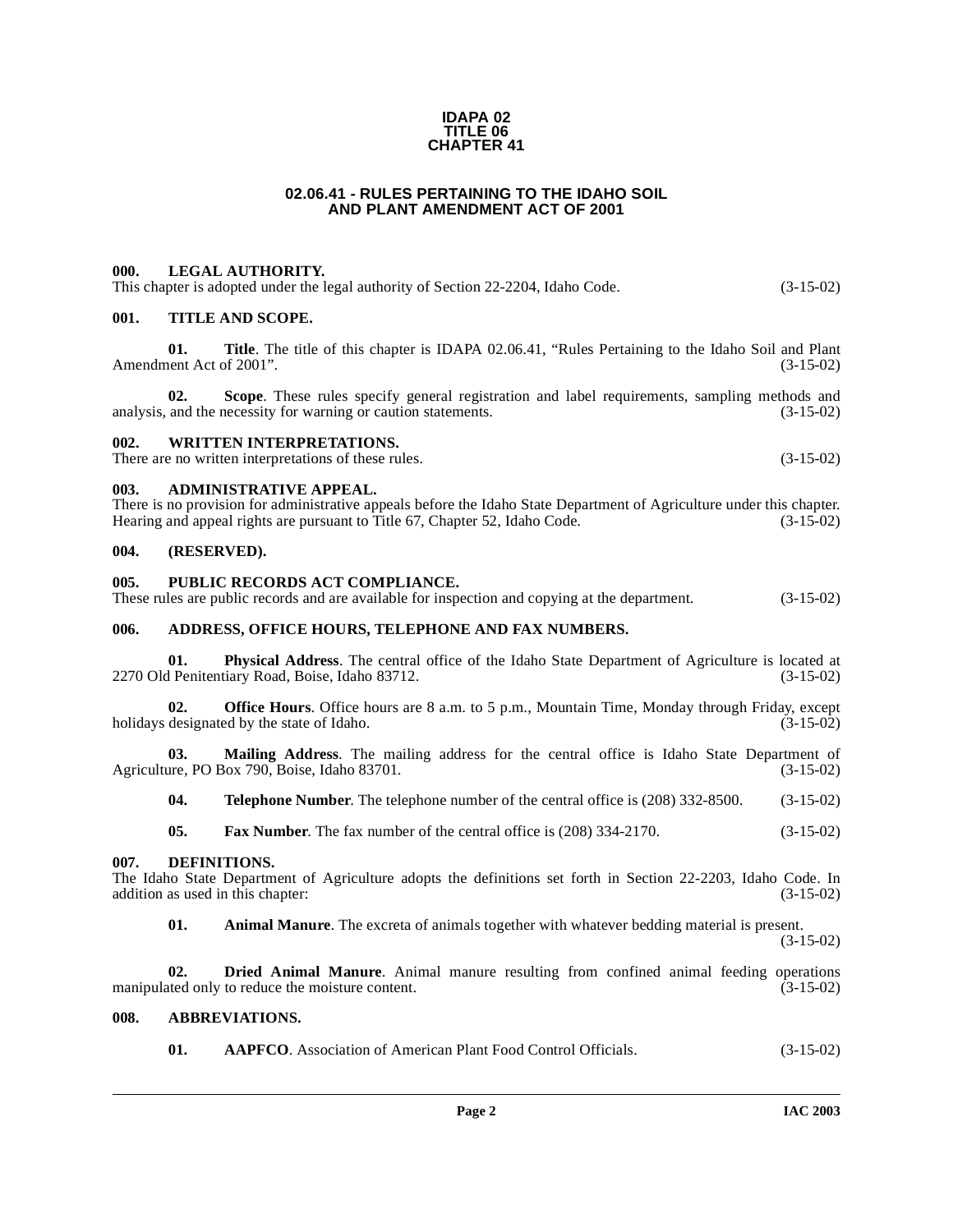#### **IDAPA 02 TITLE 06 CHAPTER 41**

#### **02.06.41 - RULES PERTAINING TO THE IDAHO SOIL AND PLANT AMENDMENT ACT OF 2001**

#### <span id="page-1-1"></span><span id="page-1-0"></span>**000. LEGAL AUTHORITY.**

This chapter is adopted under the legal authority of Section 22-2204, Idaho Code. (3-15-02)

#### <span id="page-1-2"></span>**001. TITLE AND SCOPE.**

**01. Title**. The title of this chapter is IDAPA 02.06.41, "Rules Pertaining to the Idaho Soil and Plant Amendment Act of 2001". (3-15-02)

**02.** Scope. These rules specify general registration and label requirements, sampling methods and and the necessity for warning or caution statements. (3-15-02) analysis, and the necessity for warning or caution statements.

#### <span id="page-1-3"></span>**002. WRITTEN INTERPRETATIONS.**

There are no written interpretations of these rules. (3-15-02)

#### <span id="page-1-4"></span>**003. ADMINISTRATIVE APPEAL.**

There is no provision for administrative appeals before the Idaho State Department of Agriculture under this chapter.<br>Hearing and appeal rights are pursuant to Title 67, Chapter 52, Idaho Code. (3-15-02) Hearing and appeal rights are pursuant to Title 67, Chapter 52, Idaho Code.

#### <span id="page-1-5"></span>**004. (RESERVED).**

#### <span id="page-1-6"></span>**005. PUBLIC RECORDS ACT COMPLIANCE.**

These rules are public records and are available for inspection and copying at the department. (3-15-02)

#### <span id="page-1-7"></span>**006. ADDRESS, OFFICE HOURS, TELEPHONE AND FAX NUMBERS.**

**01. Physical Address**. The central office of the Idaho State Department of Agriculture is located at Penitentiary Road, Boise, Idaho 83712. (3-15-02) 2270 Old Penitentiary Road, Boise, Idaho 83712.

**02. Office Hours**. Office hours are 8 a.m. to 5 p.m., Mountain Time, Monday through Friday, except designated by the state of Idaho. (3-15-02) holidays designated by the state of Idaho.

**03. Mailing Address**. The mailing address for the central office is Idaho State Department of are, PO Box 790, Boise, Idaho 83701. (3-15-02) Agriculture, PO Box 790, Boise, Idaho 83701.

**04. Telephone Number**. The telephone number of the central office is (208) 332-8500. (3-15-02)

<span id="page-1-11"></span>**05. Fax Number**. The fax number of the central office is (208) 334-2170. (3-15-02)

#### <span id="page-1-8"></span>**007. DEFINITIONS.**

The Idaho State Department of Agriculture adopts the definitions set forth in Section 22-2203, Idaho Code. In addition as used in this chapter: (3-15-02) addition as used in this chapter:

**01. Animal Manure**. The excreta of animals together with whatever bedding material is present. (3-15-02)

**02. Dried Animal Manure**. Animal manure resulting from confined animal feeding operations ated only to reduce the moisture content. manipulated only to reduce the moisture content.

#### <span id="page-1-9"></span>**008. ABBREVIATIONS.**

<span id="page-1-10"></span>**01. AAPFCO**. Association of American Plant Food Control Officials. (3-15-02)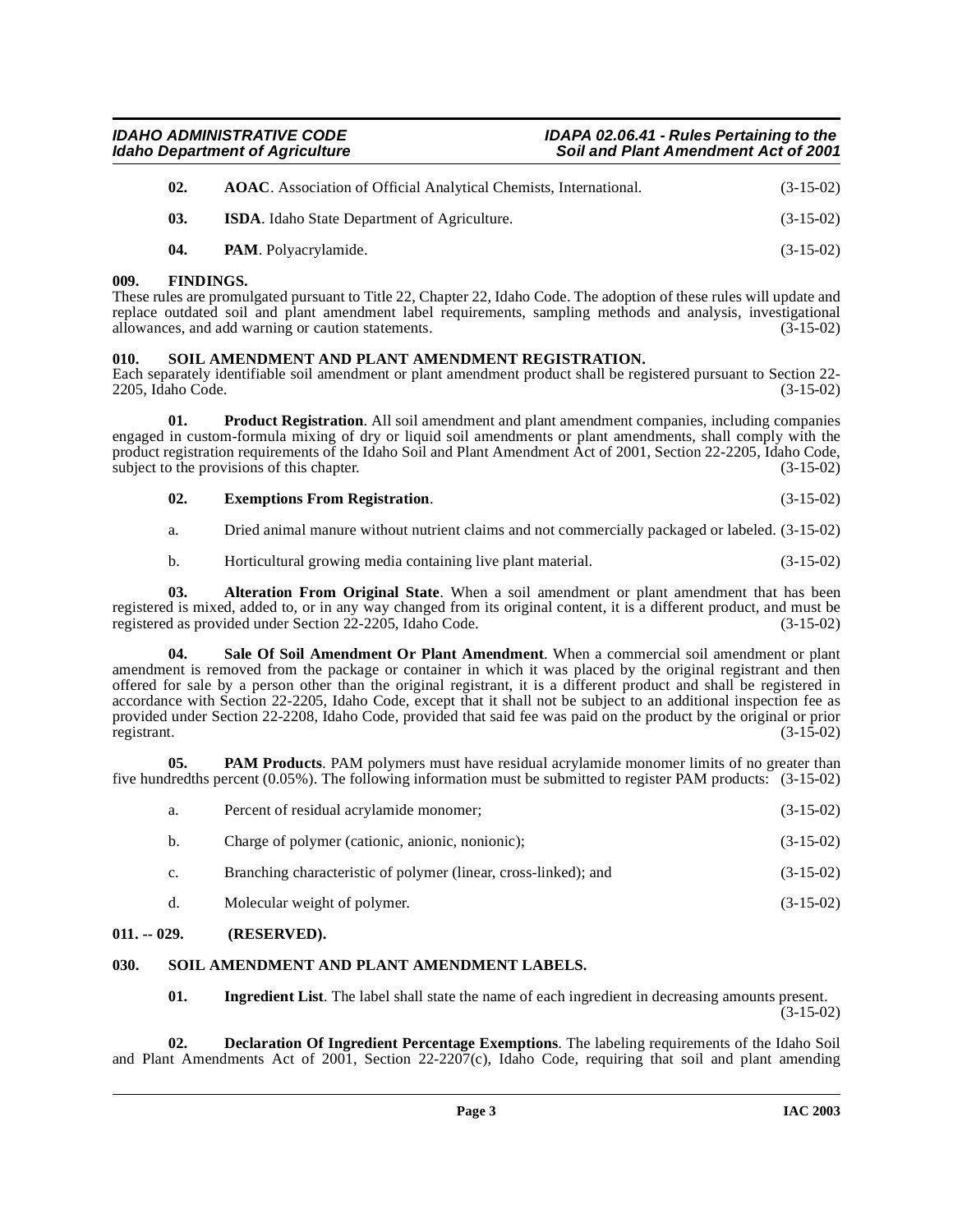| <b>IDAHO ADMINISTRATIVE CODE</b>       | IDAPA 02.06.41 - Rules Pertaining to the    |
|----------------------------------------|---------------------------------------------|
| <b>Idaho Department of Agriculture</b> | <b>Soil and Plant Amendment Act of 2001</b> |

| 02. | <b>AOAC</b> . Association of Official Analytical Chemists, International. | $(3-15-02)$ |
|-----|---------------------------------------------------------------------------|-------------|
| 03. | <b>ISDA.</b> Idaho State Department of Agriculture.                       | $(3-15-02)$ |
| 04. | PAM. Polyacrylamide.                                                      | $(3-15-02)$ |

#### <span id="page-2-0"></span>**009. FINDINGS.**

These rules are promulgated pursuant to Title 22, Chapter 22, Idaho Code. The adoption of these rules will update and replace outdated soil and plant amendment label requirements, sampling methods and analysis, investigational allowances, and add warning or caution statements. (3-15-02)

#### <span id="page-2-12"></span><span id="page-2-1"></span>**010. SOIL AMENDMENT AND PLANT AMENDMENT REGISTRATION.**

Each separately identifiable soil amendment or plant amendment product shall be registered pursuant to Section 22- 2205, Idaho Code. (3-15-02)

**01. Product Registration**. All soil amendment and plant amendment companies, including companies engaged in custom-formula mixing of dry or liquid soil amendments or plant amendments, shall comply with the product registration requirements of the Idaho Soil and Plant Amendment Act of 2001, Section 22-2205, Idaho Code, subject to the provisions of this chapter. (3-15-02)

#### <span id="page-2-9"></span><span id="page-2-6"></span>**02. Exemptions From Registration**. (3-15-02)

a. Dried animal manure without nutrient claims and not commercially packaged or labeled. (3-15-02)

<span id="page-2-10"></span><span id="page-2-4"></span>b. Horticultural growing media containing live plant material. (3-15-02)

**03. Alteration From Original State**. When a soil amendment or plant amendment that has been registered is mixed, added to, or in any way changed from its original content, it is a different product, and must be registered as provided under Section 22-2205, Idaho Code. (3-15-02) registered as provided under Section 22-2205, Idaho Code.

**Sale Of Soil Amendment Or Plant Amendment**. When a commercial soil amendment or plant amendment is removed from the package or container in which it was placed by the original registrant and then offered for sale by a person other than the original registrant, it is a different product and shall be registered in accordance with Section 22-2205, Idaho Code, except that it shall not be subject to an additional inspection fee as provided under Section 22-2208, Idaho Code, provided that said fee was paid on the product by the original or prior registrant. (3-15-02) registrant. (3-15-02)

**05. PAM Products**. PAM polymers must have residual acrylamide monomer limits of no greater than five hundredths percent (0.05%). The following information must be submitted to register PAM products: (3-15-02)

<span id="page-2-8"></span>

| a.             | Percent of residual acrylamide monomer;                         | $(3-15-02)$ |
|----------------|-----------------------------------------------------------------|-------------|
| b.             | Charge of polymer (cationic, anionic, nonionic);                | $(3-15-02)$ |
| $\mathbf{c}$ . | Branching characteristic of polymer (linear, cross-linked); and | $(3-15-02)$ |
| d.             | Molecular weight of polymer.                                    | $(3-15-02)$ |
|                |                                                                 |             |

#### <span id="page-2-2"></span>**011. -- 029. (RESERVED).**

#### <span id="page-2-3"></span>**030. SOIL AMENDMENT AND PLANT AMENDMENT LABELS.**

<span id="page-2-11"></span><span id="page-2-7"></span><span id="page-2-5"></span>**01.** Ingredient List. The label shall state the name of each ingredient in decreasing amounts present.  $(3-15-02)$ 

**02. Declaration Of Ingredient Percentage Exemptions**. The labeling requirements of the Idaho Soil and Plant Amendments Act of 2001, Section 22-2207(c), Idaho Code, requiring that soil and plant amending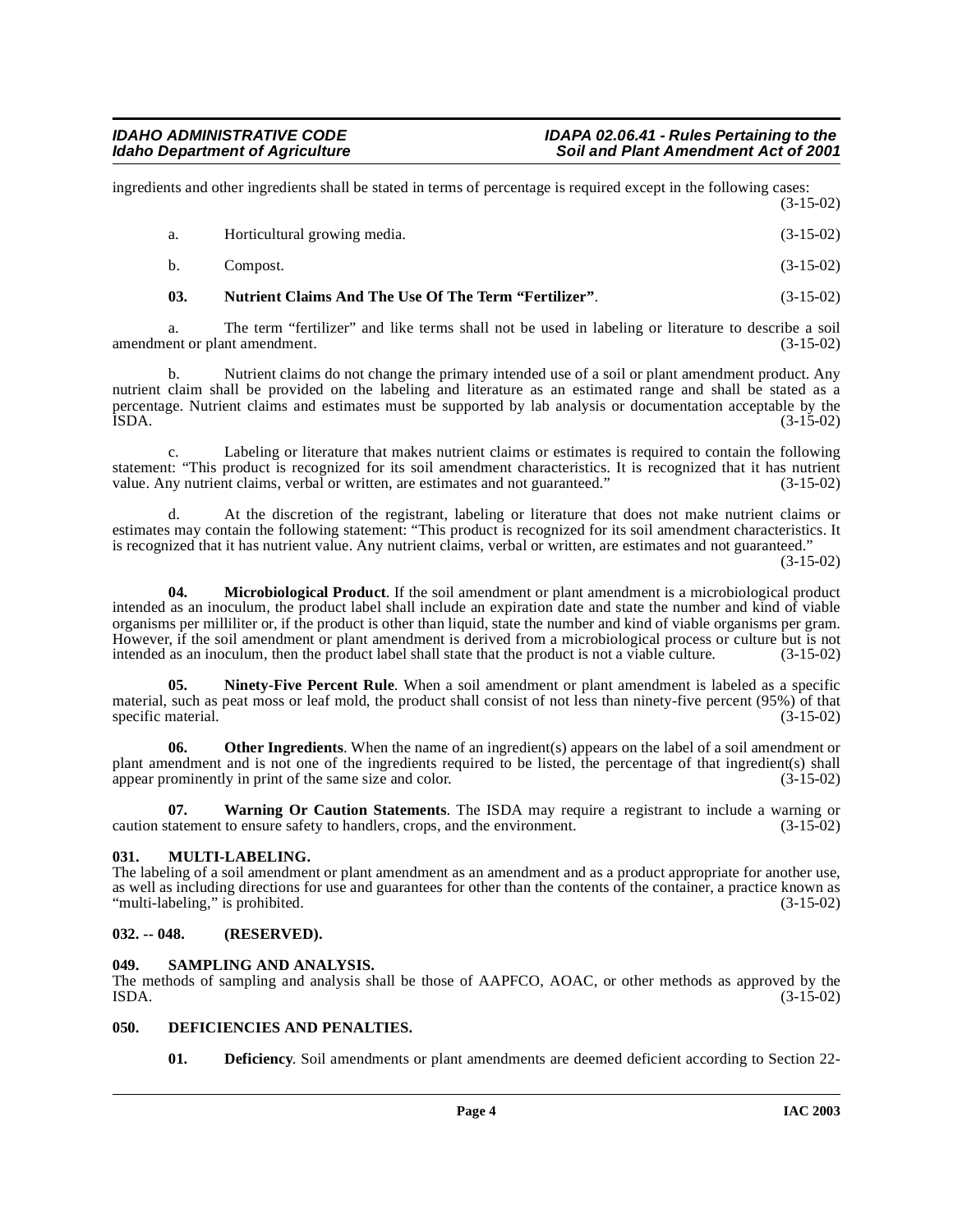ingredients and other ingredients shall be stated in terms of percentage is required except in the following cases: (3-15-02)

| а. | Horticultural growing media. | $(3-15-02)$ |
|----|------------------------------|-------------|
| b. | Compost.                     | $(3-15-02)$ |

<span id="page-3-8"></span>**03. Nutrient Claims And The Use Of The Term "Fertilizer"**. (3-15-02)

a. The term "fertilizer" and like terms shall not be used in labeling or literature to describe a soil amendment or plant amendment. (3-15-02)

b. Nutrient claims do not change the primary intended use of a soil or plant amendment product. Any nutrient claim shall be provided on the labeling and literature as an estimated range and shall be stated as a nutrient claim shall be provided on the labeling and literature as an estimated range and shall be stated as a percentage. Nutrient claims and estimates must be supported by lab analysis or documentation acceptable by the  $\text{ISDA}.$  (3-15-02)

c. Labeling or literature that makes nutrient claims or estimates is required to contain the following statement: "This product is recognized for its soil amendment characteristics. It is recognized that it has nutrient value. Any nutrient claims, verbal or written, are estimates and not guaranteed." (3-15-02)

d. At the discretion of the registrant, labeling or literature that does not make nutrient claims or estimates may contain the following statement: "This product is recognized for its soil amendment characteristics. It is recognized that it has nutrient value. Any nutrient claims, verbal or written, are estimates and not guaranteed."

(3-15-02)

<span id="page-3-5"></span>**04. Microbiological Product**. If the soil amendment or plant amendment is a microbiological product intended as an inoculum, the product label shall include an expiration date and state the number and kind of viable organisms per milliliter or, if the product is other than liquid, state the number and kind of viable organisms per gram. However, if the soil amendment or plant amendment is derived from a microbiological process or culture but is not intended as an inoculum, then the product label shall state that the product is not a viable culture. (3-15intended as an inoculum, then the product label shall state that the product is not a viable culture.

<span id="page-3-7"></span>**Ninety-Five Percent Rule**. When a soil amendment or plant amendment is labeled as a specific material, such as peat moss or leaf mold, the product shall consist of not less than ninety-five percent (95%) of that specific material. (3-15-02)

**06. Other Ingredients**. When the name of an ingredient(s) appears on the label of a soil amendment or plant amendment and is not one of the ingredients required to be listed, the percentage of that ingredient(s) shall appear prominently in print of the same size and color. (3-15-02)

<span id="page-3-10"></span>**07. Warning Or Caution Statements**. The ISDA may require a registrant to include a warning or caution statement to ensure safety to handlers, crops, and the environment. (3-15-02)

#### <span id="page-3-6"></span><span id="page-3-0"></span>**031. MULTI-LABELING.**

The labeling of a soil amendment or plant amendment as an amendment and as a product appropriate for another use, as well as including directions for use and guarantees for other than the contents of the container, a practice known as "multi-labeling," is prohibited. (3-15-02) "multi-labeling," is prohibited.

#### <span id="page-3-1"></span>**032. -- 048. (RESERVED).**

#### <span id="page-3-9"></span><span id="page-3-2"></span>**049. SAMPLING AND ANALYSIS.**

The methods of sampling and analysis shall be those of AAPFCO, AOAC, or other methods as approved by the  $\text{ISDA}.$  (3-15-02)

#### <span id="page-3-3"></span>**050. DEFICIENCIES AND PENALTIES.**

<span id="page-3-4"></span>**01. Deficiency**. Soil amendments or plant amendments are deemed deficient according to Section 22-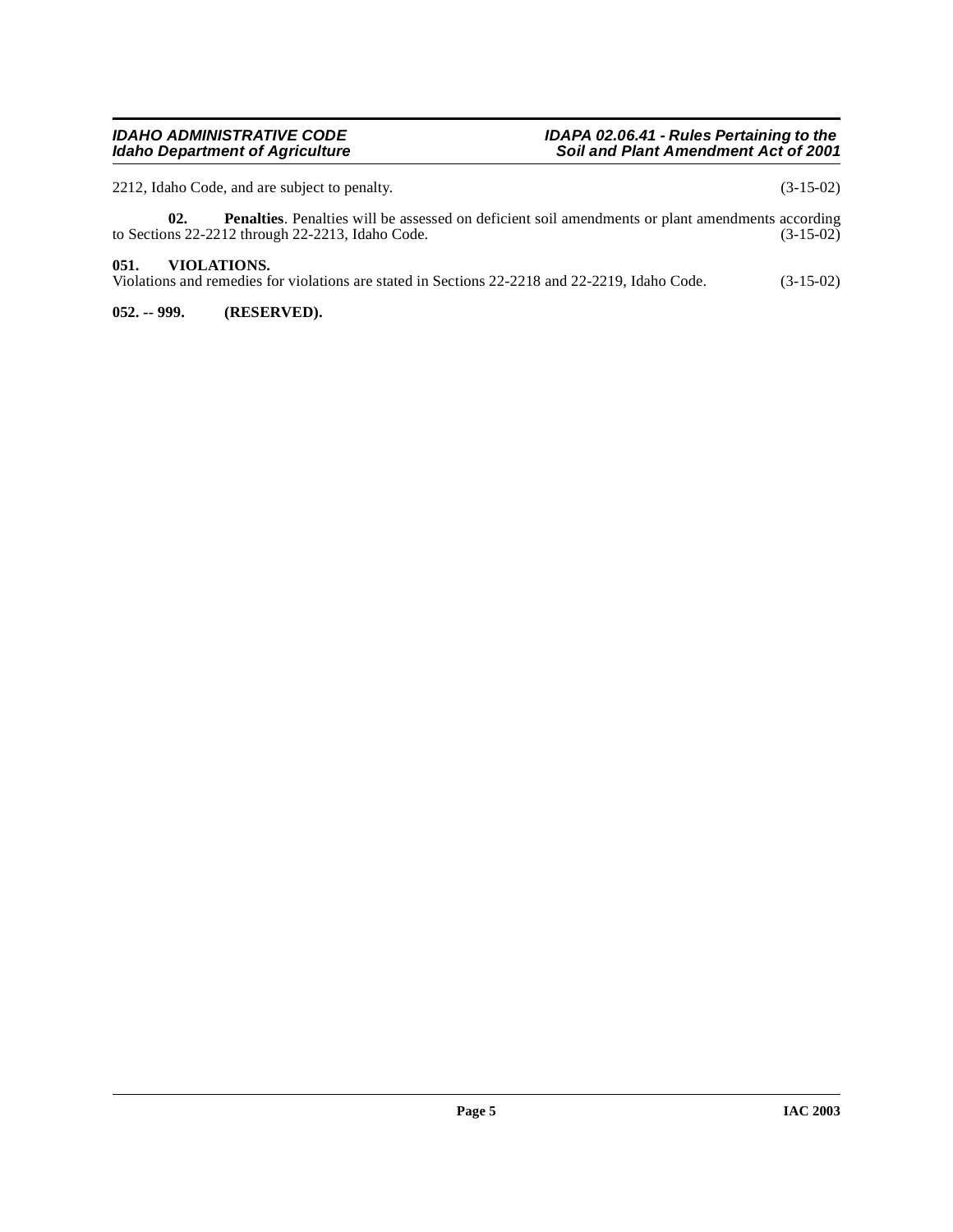#### **IDAHO ADMINISTRATIVE CODE All rations CODE ADMINISTRATIVE CODE IDAPA 02.06.41 - Rules Pertaining to the Idaho Department of Agriculture Soil and Plant Amendment Act of 2001**

2212, Idaho Code, and are subject to penalty. (3-15-02)

**02.** Penalties. Penalties will be assessed on deficient soil amendments or plant amendments according ns 22-2212 through 22-2213, Idaho Code. (3-15-02) to Sections 22-2212 through 22-2213, Idaho Code.

#### <span id="page-4-0"></span>**051. VIOLATIONS.**

Violations and remedies for violations are stated in Sections 22-2218 and 22-2219, Idaho Code. (3-15-02)

<span id="page-4-1"></span>**052. -- 999. (RESERVED).**